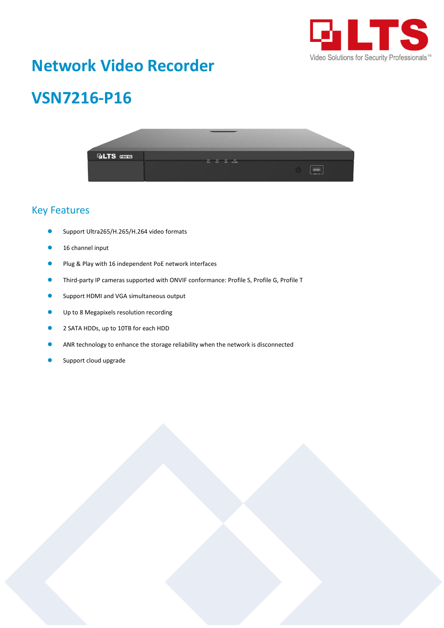

## **Network Video Recorder**

# **VSN7216-P16**



#### Key Features

- Support Ultra265/H.265/H.264 video formats
- 16 channel input
- Plug & Play with 16 independent PoE network interfaces
- Third-party IP cameras supported with ONVIF conformance: Profile S, Profile G, Profile T
- Support HDMI and VGA simultaneous output
- Up to 8 Megapixels resolution recording
- 2 SATA HDDs, up to 10TB for each HDD
- ANR technology to enhance the storage reliability when the network is disconnected
- Support cloud upgrade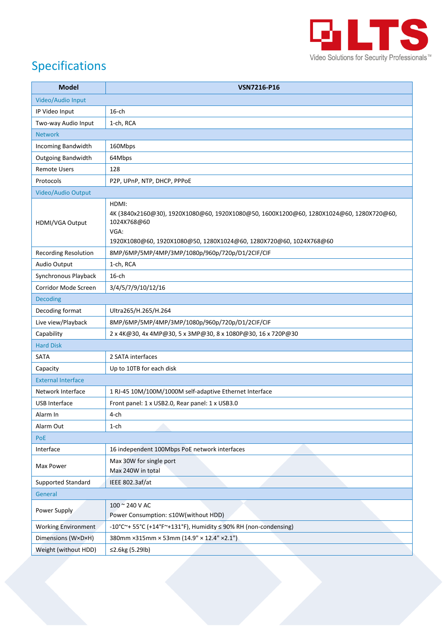

## Specifications

| <b>Model</b>                | VSN7216-P16                                                                                                                                                                                   |
|-----------------------------|-----------------------------------------------------------------------------------------------------------------------------------------------------------------------------------------------|
| Video/Audio Input           |                                                                                                                                                                                               |
| IP Video Input              | $16$ -ch                                                                                                                                                                                      |
| Two-way Audio Input         | 1-ch, RCA                                                                                                                                                                                     |
| <b>Network</b>              |                                                                                                                                                                                               |
| Incoming Bandwidth          | 160Mbps                                                                                                                                                                                       |
| <b>Outgoing Bandwidth</b>   | 64Mbps                                                                                                                                                                                        |
| <b>Remote Users</b>         | 128                                                                                                                                                                                           |
| Protocols                   | P2P, UPnP, NTP, DHCP, PPPoE                                                                                                                                                                   |
| Video/Audio Output          |                                                                                                                                                                                               |
| HDMI/VGA Output             | HDMI:<br>4K (3840x2160@30), 1920X1080@60, 1920X1080@50, 1600X1200@60, 1280X1024@60, 1280X720@60,<br>1024X768@60<br>VGA:<br>1920X1080@60, 1920X1080@50, 1280X1024@60, 1280X720@60, 1024X768@60 |
| <b>Recording Resolution</b> | 8MP/6MP/5MP/4MP/3MP/1080p/960p/720p/D1/2CIF/CIF                                                                                                                                               |
| Audio Output                | 1-ch, RCA                                                                                                                                                                                     |
| Synchronous Playback        | $16$ -ch                                                                                                                                                                                      |
| Corridor Mode Screen        | 3/4/5/7/9/10/12/16                                                                                                                                                                            |
| <b>Decoding</b>             |                                                                                                                                                                                               |
| Decoding format             | Ultra265/H.265/H.264                                                                                                                                                                          |
| Live view/Playback          | 8MP/6MP/5MP/4MP/3MP/1080p/960p/720p/D1/2CIF/CIF                                                                                                                                               |
| Capability                  | 2 x 4K@30, 4x 4MP@30, 5 x 3MP@30, 8 x 1080P@30, 16 x 720P@30                                                                                                                                  |
| <b>Hard Disk</b>            |                                                                                                                                                                                               |
| SATA                        | 2 SATA interfaces                                                                                                                                                                             |
| Capacity                    | Up to 10TB for each disk                                                                                                                                                                      |
| <b>External Interface</b>   |                                                                                                                                                                                               |
| Network Interface           | 1 RJ-45 10M/100M/1000M self-adaptive Ethernet Interface                                                                                                                                       |
| USB Interface               | Front panel: 1 x USB2.0, Rear panel: 1 x USB3.0                                                                                                                                               |
| Alarm In                    | 4-ch                                                                                                                                                                                          |
| Alarm Out                   | 1-ch                                                                                                                                                                                          |
| PoE                         |                                                                                                                                                                                               |
| Interface                   | 16 independent 100Mbps PoE network interfaces                                                                                                                                                 |
| Max Power                   | Max 30W for single port<br>Max 240W in total                                                                                                                                                  |
| <b>Supported Standard</b>   | IEEE 802.3af/at                                                                                                                                                                               |
| General                     |                                                                                                                                                                                               |
| Power Supply                | 100 ~ 240 V AC<br>Power Consumption: ≤10W(without HDD)                                                                                                                                        |
| <b>Working Environment</b>  | -10°C~+ 55°C (+14°F~+131°F), Humidity ≤ 90% RH (non-condensing)                                                                                                                               |
| Dimensions (W×D×H)          | 380mm × 315mm × 53mm (14.9" × 12.4" × 2.1")                                                                                                                                                   |
| Weight (without HDD)        | ≤2.6kg (5.29lb)                                                                                                                                                                               |